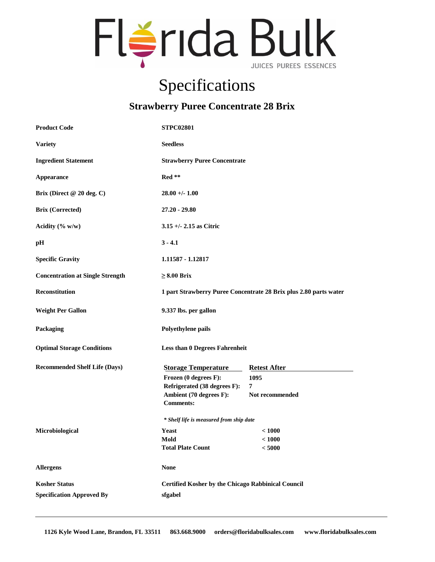

## Specifications

## **Strawberry Puree Concentrate 28 Brix**

| <b>Product Code</b>                                      | <b>STPC02801</b>                                                                                                                   |                                                                   |
|----------------------------------------------------------|------------------------------------------------------------------------------------------------------------------------------------|-------------------------------------------------------------------|
| <b>Variety</b>                                           | <b>Seedless</b>                                                                                                                    |                                                                   |
| <b>Ingredient Statement</b>                              | <b>Strawberry Puree Concentrate</b>                                                                                                |                                                                   |
| Appearance                                               | Red **                                                                                                                             |                                                                   |
| Brix (Direct @ 20 deg. C)                                | $28.00 +/- 1.00$                                                                                                                   |                                                                   |
| <b>Brix (Corrected)</b>                                  | $27.20 - 29.80$                                                                                                                    |                                                                   |
| Acidity $(\% w/w)$                                       | $3.15 +/- 2.15$ as Citric                                                                                                          |                                                                   |
| pН                                                       | $3 - 4.1$                                                                                                                          |                                                                   |
| <b>Specific Gravity</b>                                  | 1.11587 - 1.12817                                                                                                                  |                                                                   |
| <b>Concentration at Single Strength</b>                  | $\geq 8.00$ Brix                                                                                                                   |                                                                   |
| <b>Reconstitution</b>                                    | 1 part Strawberry Puree Concentrate 28 Brix plus 2.80 parts water                                                                  |                                                                   |
| <b>Weight Per Gallon</b>                                 | 9.337 lbs. per gallon                                                                                                              |                                                                   |
| Packaging                                                | Polyethylene pails                                                                                                                 |                                                                   |
| <b>Optimal Storage Conditions</b>                        | <b>Less than 0 Degrees Fahrenheit</b>                                                                                              |                                                                   |
| <b>Recommended Shelf Life (Days)</b>                     | <b>Storage Temperature</b><br>Frozen (0 degrees F):<br>Refrigerated (38 degrees F):<br>Ambient (70 degrees F):<br><b>Comments:</b> | <b>Retest After</b><br>1095<br>$7\phantom{.0}$<br>Not recommended |
|                                                          | * Shelf life is measured from ship date                                                                                            |                                                                   |
| Microbiological                                          | Yeast<br>Mold<br><b>Total Plate Count</b>                                                                                          | < 1000<br>< 1000<br>< 5000                                        |
| <b>Allergens</b>                                         | <b>None</b>                                                                                                                        |                                                                   |
| <b>Kosher Status</b><br><b>Specification Approved By</b> | <b>Certified Kosher by the Chicago Rabbinical Council</b><br>sfgabel                                                               |                                                                   |